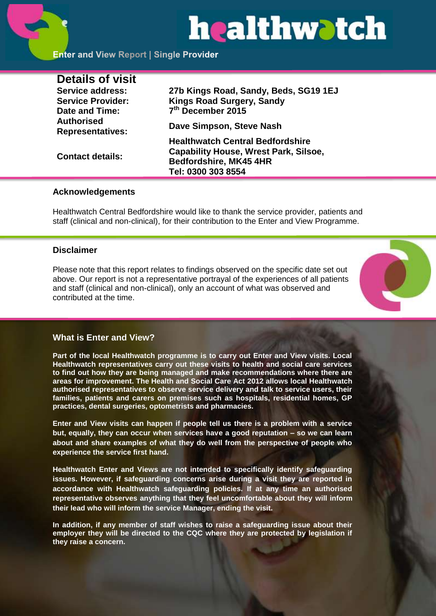# healthwatch

**Enter and View Report | Single Provider** 

| <b>Details of visit</b>                      |                                                                                                                                         |
|----------------------------------------------|-----------------------------------------------------------------------------------------------------------------------------------------|
| Service address:                             | 27b Kings Road, Sandy, Beds, SG19 1EJ                                                                                                   |
| <b>Service Provider:</b>                     | <b>Kings Road Surgery, Sandy</b>                                                                                                        |
| Date and Time:                               | 7 <sup>th</sup> December 2015                                                                                                           |
| <b>Authorised</b><br><b>Representatives:</b> | Dave Simpson, Steve Nash                                                                                                                |
| <b>Contact details:</b>                      | <b>Healthwatch Central Bedfordshire</b><br><b>Capability House, Wrest Park, Silsoe,</b><br>Bedfordshire, MK45 4HR<br>Tel: 0300 303 8554 |

#### **Acknowledgements**

Healthwatch Central Bedfordshire would like to thank the service provider, patients and staff (clinical and non-clinical), for their contribution to the Enter and View Programme.

#### **Disclaimer**

Please note that this report relates to findings observed on the specific date set out above. Our report is not a representative portrayal of the experiences of all patients and staff (clinical and non-clinical), only an account of what was observed and contributed at the time.



# **What is Enter and View?**

**Part of the local Healthwatch programme is to carry out Enter and View visits. Local Healthwatch representatives carry out these visits to health and social care services to find out how they are being managed and make recommendations where there are areas for improvement. The Health and Social Care Act 2012 allows local Healthwatch authorised representatives to observe service delivery and talk to service users, their families, patients and carers on premises such as hospitals, residential homes, GP practices, dental surgeries, optometrists and pharmacies.** 

**Enter and View visits can happen if people tell us there is a problem with a service but, equally, they can occur when services have a good reputation – so we can learn about and share examples of what they do well from the perspective of people who experience the service first hand.**

**Healthwatch Enter and Views are not intended to specifically identify safeguarding issues. However, if safeguarding concerns arise during a visit they are reported in accordance with Healthwatch safeguarding policies. If at any time an authorised representative observes anything that they feel uncomfortable about they will inform their lead who will inform the service Manager, ending the visit.** 

**In addition, if any member of staff wishes to raise a safeguarding issue about their employer they will be directed to the CQC where they are protected by legislation if they raise a concern.**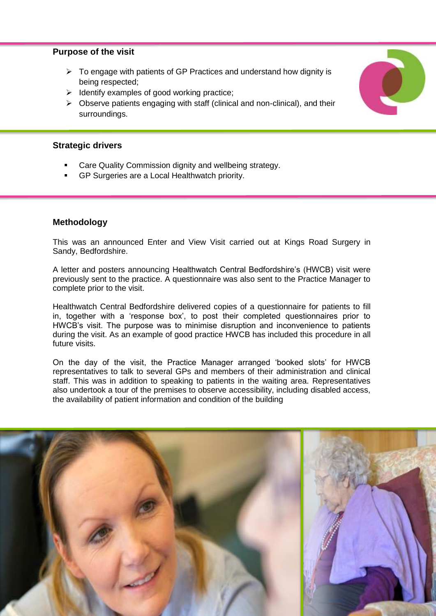#### **Purpose of the visit**

- $\triangleright$  To engage with patients of GP Practices and understand how dignity is being respected;
- $\triangleright$  Identify examples of good working practice;
- $\triangleright$  Observe patients engaging with staff (clinical and non-clinical), and their surroundings.

#### **Strategic drivers**

- Care Quality Commission dignity and wellbeing strategy.
- GP Surgeries are a Local Healthwatch priority.

#### **Methodology**

This was an announced Enter and View Visit carried out at Kings Road Surgery in Sandy, Bedfordshire.

A letter and posters announcing Healthwatch Central Bedfordshire's (HWCB) visit were previously sent to the practice. A questionnaire was also sent to the Practice Manager to complete prior to the visit.

Healthwatch Central Bedfordshire delivered copies of a questionnaire for patients to fill in, together with a 'response box', to post their completed questionnaires prior to HWCB's visit. The purpose was to minimise disruption and inconvenience to patients during the visit. As an example of good practice HWCB has included this procedure in all future visits.

On the day of the visit, the Practice Manager arranged 'booked slots' for HWCB representatives to talk to several GPs and members of their administration and clinical staff. This was in addition to speaking to patients in the waiting area. Representatives also undertook a tour of the premises to observe accessibility, including disabled access, the availability of patient information and condition of the building

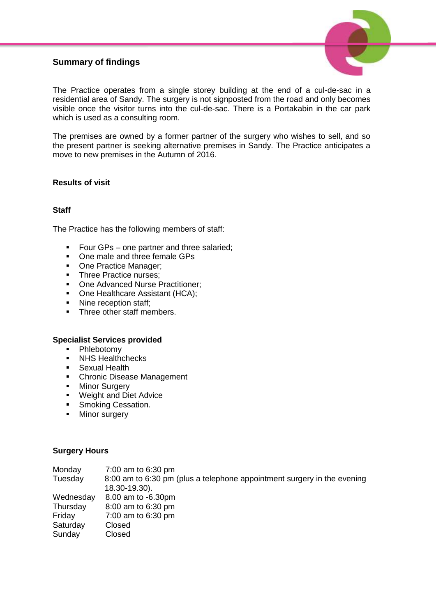# **Summary of findings**



The Practice operates from a single storey building at the end of a cul-de-sac in a residential area of Sandy. The surgery is not signposted from the road and only becomes visible once the visitor turns into the cul-de-sac. There is a Portakabin in the car park which is used as a consulting room.

The premises are owned by a former partner of the surgery who wishes to sell, and so the present partner is seeking alternative premises in Sandy. The Practice anticipates a move to new premises in the Autumn of 2016.

#### **Results of visit**

#### **Staff**

The Practice has the following members of staff:

- Four GPs one partner and three salaried;
- One male and three female GPs
- One Practice Manager;
- Three Practice nurses;<br>• One Advanced Nurse F
- One Advanced Nurse Practitioner;
- One Healthcare Assistant (HCA):
- Nine reception staff:
- Three other staff members.

#### **Specialist Services provided**

- Phlebotomy
- NHS Healthchecks
- **Sexual Health**
- **Chronic Disease Management**
- **-** Minor Surgery
- **Weight and Diet Advice**
- **Smoking Cessation.**
- Minor surgery

#### **Surgery Hours**

| Monday    | 7:00 am to 6:30 pm                                                      |
|-----------|-------------------------------------------------------------------------|
| Tuesday   | 8:00 am to 6:30 pm (plus a telephone appointment surgery in the evening |
|           | 18.30-19.30).                                                           |
| Wednesday | 8.00 am to -6.30pm                                                      |
| Thursday  | 8:00 am to 6:30 pm                                                      |
| Friday    | 7:00 am to 6:30 pm                                                      |
| Saturday  | Closed                                                                  |
| Sunday    | Closed                                                                  |
|           |                                                                         |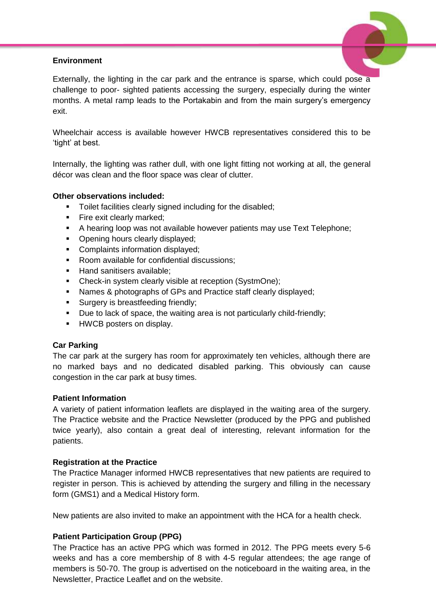#### **Environment**



Externally, the lighting in the car park and the entrance is sparse, which could pose a challenge to poor- sighted patients accessing the surgery, especially during the winter months. A metal ramp leads to the Portakabin and from the main surgery's emergency exit.

Wheelchair access is available however HWCB representatives considered this to be 'tight' at best.

Internally, the lighting was rather dull, with one light fitting not working at all, the general décor was clean and the floor space was clear of clutter.

#### **Other observations included:**

- **Toilet facilities clearly signed including for the disabled:**
- **Fire exit clearly marked;**
- A hearing loop was not available however patients may use Text Telephone;
- Opening hours clearly displayed;
- **Complaints information displayed;**
- Room available for confidential discussions:
- Hand sanitisers available:
- Check-in system clearly visible at reception (SystmOne);
- Names & photographs of GPs and Practice staff clearly displayed;
- **Surgery is breastfeeding friendly;**
- Due to lack of space, the waiting area is not particularly child-friendly;
- **HWCB** posters on display.

#### **Car Parking**

The car park at the surgery has room for approximately ten vehicles, although there are no marked bays and no dedicated disabled parking. This obviously can cause congestion in the car park at busy times.

#### **Patient Information**

A variety of patient information leaflets are displayed in the waiting area of the surgery. The Practice website and the Practice Newsletter (produced by the PPG and published twice yearly), also contain a great deal of interesting, relevant information for the patients.

#### **Registration at the Practice**

The Practice Manager informed HWCB representatives that new patients are required to register in person. This is achieved by attending the surgery and filling in the necessary form (GMS1) and a Medical History form.

New patients are also invited to make an appointment with the HCA for a health check.

#### **Patient Participation Group (PPG)**

The Practice has an active PPG which was formed in 2012. The PPG meets every 5-6 weeks and has a core membership of 8 with 4-5 regular attendees; the age range of members is 50-70. The group is advertised on the noticeboard in the waiting area, in the Newsletter, Practice Leaflet and on the website.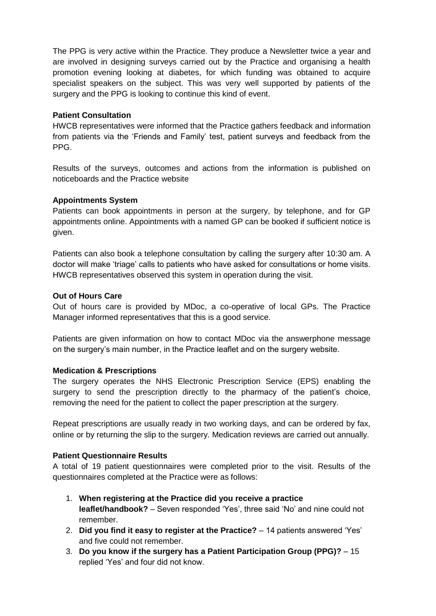The PPG is very active within the Practice. They produce a Newsletter twice a year and are involved in designing surveys carried out by the Practice and organising a health promotion evening looking at diabetes, for which funding was obtained to acquire specialist speakers on the subject. This was very well supported by patients of the surgery and the PPG is looking to continue this kind of event.

#### **Patient Consultation**

HWCB representatives were informed that the Practice gathers feedback and information from patients via the 'Friends and Family' test, patient surveys and feedback from the PPG.

Results of the surveys, outcomes and actions from the information is published on noticeboards and the Practice website

#### **Appointments System**

Patients can book appointments in person at the surgery, by telephone, and for GP appointments online. Appointments with a named GP can be booked if sufficient notice is given.

Patients can also book a telephone consultation by calling the surgery after 10:30 am. A doctor will make 'triage' calls to patients who have asked for consultations or home visits. HWCB representatives observed this system in operation during the visit.

#### **Out of Hours Care**

Out of hours care is provided by MDoc, a co-operative of local GPs. The Practice Manager informed representatives that this is a good service.

Patients are given information on how to contact MDoc via the answerphone message on the surgery's main number, in the Practice leaflet and on the surgery website.

#### **Medication & Prescriptions**

The surgery operates the NHS Electronic Prescription Service (EPS) enabling the surgery to send the prescription directly to the pharmacy of the patient's choice, removing the need for the patient to collect the paper prescription at the surgery.

Repeat prescriptions are usually ready in two working days, and can be ordered by fax, online or by returning the slip to the surgery. Medication reviews are carried out annually.

#### **Patient Questionnaire Results**

A total of 19 patient questionnaires were completed prior to the visit. Results of the questionnaires completed at the Practice were as follows:

- 1. **When registering at the Practice did you receive a practice leaflet/handbook?** – Seven responded 'Yes', three said 'No' and nine could not remember.
- 2. **Did you find it easy to register at the Practice?** 14 patients answered 'Yes' and five could not remember.
- 3. **Do you know if the surgery has a Patient Participation Group (PPG)?** 15 replied 'Yes' and four did not know.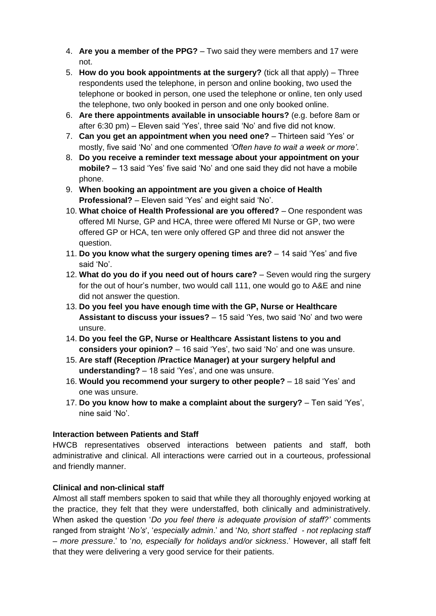- 4. **Are you a member of the PPG?** Two said they were members and 17 were not.
- 5. **How do you book appointments at the surgery?** (tick all that apply) Three respondents used the telephone, in person and online booking, two used the telephone or booked in person, one used the telephone or online, ten only used the telephone, two only booked in person and one only booked online.
- 6. **Are there appointments available in unsociable hours?** (e.g. before 8am or after 6:30 pm) – Eleven said 'Yes', three said 'No' and five did not know.
- 7. **Can you get an appointment when you need one?** Thirteen said 'Yes' or mostly, five said 'No' and one commented *'Often have to wait a week or more'*.
- 8. **Do you receive a reminder text message about your appointment on your mobile?** – 13 said 'Yes' five said 'No' and one said they did not have a mobile phone.
- 9. **When booking an appointment are you given a choice of Health Professional?** – Eleven said 'Yes' and eight said 'No'.
- 10. **What choice of Health Professional are you offered?** One respondent was offered MI Nurse, GP and HCA, three were offered MI Nurse or GP, two were offered GP or HCA, ten were only offered GP and three did not answer the question.
- 11. **Do you know what the surgery opening times are?** 14 said 'Yes' and five said 'No'.
- 12. **What do you do if you need out of hours care?** Seven would ring the surgery for the out of hour's number, two would call 111, one would go to A&E and nine did not answer the question.
- 13. **Do you feel you have enough time with the GP, Nurse or Healthcare Assistant to discuss your issues?** – 15 said 'Yes, two said 'No' and two were unsure.
- 14. **Do you feel the GP, Nurse or Healthcare Assistant listens to you and considers your opinion?** – 16 said 'Yes', two said 'No' and one was unsure.
- 15. **Are staff (Reception /Practice Manager) at your surgery helpful and understanding?** – 18 said 'Yes', and one was unsure.
- 16. **Would you recommend your surgery to other people?** 18 said 'Yes' and one was unsure.
- 17. **Do you know how to make a complaint about the surgery?** Ten said 'Yes', nine said 'No'.

# **Interaction between Patients and Staff**

HWCB representatives observed interactions between patients and staff, both administrative and clinical. All interactions were carried out in a courteous, professional and friendly manner.

#### **Clinical and non-clinical staff**

Almost all staff members spoken to said that while they all thoroughly enjoyed working at the practice, they felt that they were understaffed, both clinically and administratively. When asked the question '*Do you feel there is adequate provision of staff?'* comments ranged from straight '*No's*', '*especially admin*.' and '*No, short staffed - not replacing staff – more pressure*.' to '*no, especially for holidays and/or sickness*.' However, all staff felt that they were delivering a very good service for their patients.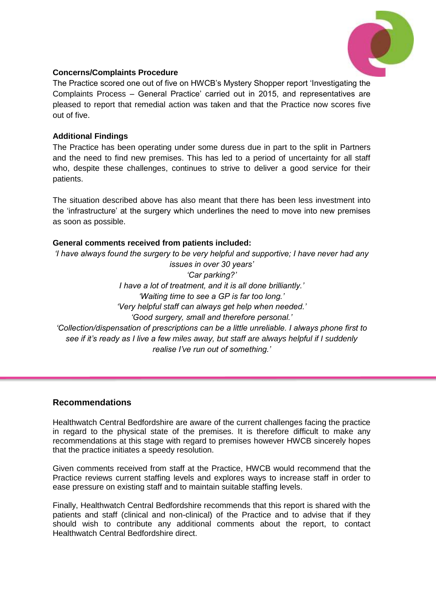

### **Concerns/Complaints Procedure**

The Practice scored one out of five on HWCB's Mystery Shopper report 'Investigating the Complaints Process – General Practice' carried out in 2015, and representatives are pleased to report that remedial action was taken and that the Practice now scores five out of five.

#### **Additional Findings**

The Practice has been operating under some duress due in part to the split in Partners and the need to find new premises. This has led to a period of uncertainty for all staff who, despite these challenges, continues to strive to deliver a good service for their patients.

The situation described above has also meant that there has been less investment into the 'infrastructure' at the surgery which underlines the need to move into new premises as soon as possible.

#### **General comments received from patients included:**

*'I have always found the surgery to be very helpful and supportive; I have never had any issues in over 30 years' 'Car parking?' I have a lot of treatment, and it is all done brilliantly.' 'Waiting time to see a GP is far too long.' 'Very helpful staff can always get help when needed.' 'Good surgery, small and therefore personal.' 'Collection/dispensation of prescriptions can be a little unreliable. I always phone first to see if it's ready as I live a few miles away, but staff are always helpful if I suddenly realise I've run out of something.'*

#### **Recommendations**

Healthwatch Central Bedfordshire are aware of the current challenges facing the practice in regard to the physical state of the premises. It is therefore difficult to make any recommendations at this stage with regard to premises however HWCB sincerely hopes that the practice initiates a speedy resolution.

Given comments received from staff at the Practice, HWCB would recommend that the Practice reviews current staffing levels and explores ways to increase staff in order to ease pressure on existing staff and to maintain suitable staffing levels.

Finally, Healthwatch Central Bedfordshire recommends that this report is shared with the patients and staff (clinical and non-clinical) of the Practice and to advise that if they should wish to contribute any additional comments about the report, to contact Healthwatch Central Bedfordshire direct.